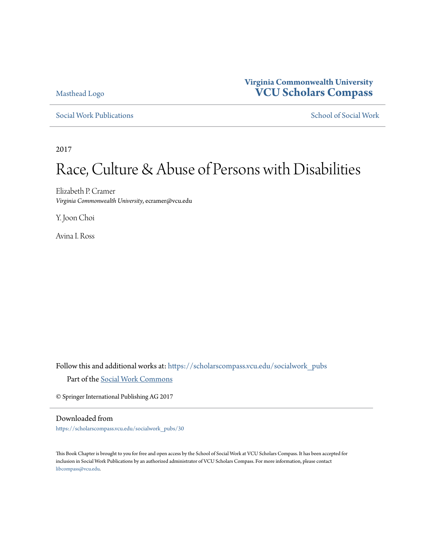[Masthead Logo](http://www.vcu.edu/?utm_source=scholarscompass.vcu.edu%2Fsocialwork_pubs%2F30&utm_medium=PDF&utm_campaign=PDFCoverPages)

# **Virginia Commonwealth University [VCU Scholars Compass](https://scholarscompass.vcu.edu?utm_source=scholarscompass.vcu.edu%2Fsocialwork_pubs%2F30&utm_medium=PDF&utm_campaign=PDFCoverPages)**

[Social Work Publications](https://scholarscompass.vcu.edu/socialwork_pubs?utm_source=scholarscompass.vcu.edu%2Fsocialwork_pubs%2F30&utm_medium=PDF&utm_campaign=PDFCoverPages) [School of Social Work](https://scholarscompass.vcu.edu/socialwork?utm_source=scholarscompass.vcu.edu%2Fsocialwork_pubs%2F30&utm_medium=PDF&utm_campaign=PDFCoverPages) Publications School of Social Work

2017

# Race, Culture & Abuse of Persons with Disabilities

Elizabeth P. Cramer *Virginia Commonwealth University*, ecramer@vcu.edu

Y. Joon Choi

Avina I. Ross

Follow this and additional works at: [https://scholarscompass.vcu.edu/socialwork\\_pubs](https://scholarscompass.vcu.edu/socialwork_pubs?utm_source=scholarscompass.vcu.edu%2Fsocialwork_pubs%2F30&utm_medium=PDF&utm_campaign=PDFCoverPages) Part of the [Social Work Commons](http://network.bepress.com/hgg/discipline/713?utm_source=scholarscompass.vcu.edu%2Fsocialwork_pubs%2F30&utm_medium=PDF&utm_campaign=PDFCoverPages)

© Springer International Publishing AG 2017

# Downloaded from

[https://scholarscompass.vcu.edu/socialwork\\_pubs/30](https://scholarscompass.vcu.edu/socialwork_pubs/30?utm_source=scholarscompass.vcu.edu%2Fsocialwork_pubs%2F30&utm_medium=PDF&utm_campaign=PDFCoverPages)

This Book Chapter is brought to you for free and open access by the School of Social Work at VCU Scholars Compass. It has been accepted for inclusion in Social Work Publications by an authorized administrator of VCU Scholars Compass. For more information, please contact [libcompass@vcu.edu](mailto:libcompass@vcu.edu).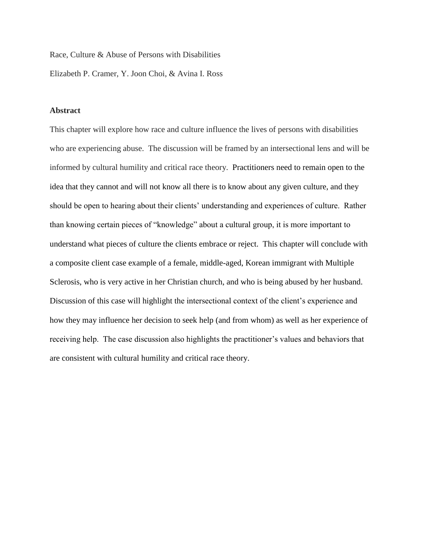Race, Culture & Abuse of Persons with Disabilities

Elizabeth P. Cramer, Y. Joon Choi, & Avina I. Ross

# **Abstract**

This chapter will explore how race and culture influence the lives of persons with disabilities who are experiencing abuse. The discussion will be framed by an intersectional lens and will be informed by cultural humility and critical race theory. Practitioners need to remain open to the idea that they cannot and will not know all there is to know about any given culture, and they should be open to hearing about their clients' understanding and experiences of culture. Rather than knowing certain pieces of "knowledge" about a cultural group, it is more important to understand what pieces of culture the clients embrace or reject. This chapter will conclude with a composite client case example of a female, middle-aged, Korean immigrant with Multiple Sclerosis, who is very active in her Christian church, and who is being abused by her husband. Discussion of this case will highlight the intersectional context of the client's experience and how they may influence her decision to seek help (and from whom) as well as her experience of receiving help. The case discussion also highlights the practitioner's values and behaviors that are consistent with cultural humility and critical race theory.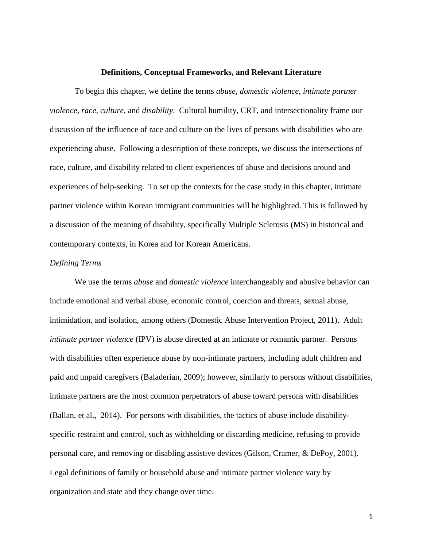#### **Definitions, Conceptual Frameworks, and Relevant Literature**

To begin this chapter, we define the terms *abuse*, *domestic violence*, *intimate partner violence*, *race*, *culture*, and *disability*. Cultural humility, CRT, and intersectionality frame our discussion of the influence of race and culture on the lives of persons with disabilities who are experiencing abuse. Following a description of these concepts, we discuss the intersections of race, culture, and disability related to client experiences of abuse and decisions around and experiences of help-seeking. To set up the contexts for the case study in this chapter, intimate partner violence within Korean immigrant communities will be highlighted. This is followed by a discussion of the meaning of disability, specifically Multiple Sclerosis (MS) in historical and contemporary contexts, in Korea and for Korean Americans.

# *Defining Terms*

We use the terms *abuse* and *domestic violence* interchangeably and abusive behavior can include emotional and verbal abuse, economic control, coercion and threats, sexual abuse, intimidation, and isolation, among others (Domestic Abuse Intervention Project, 2011). Adult *intimate partner violence* (IPV) is abuse directed at an intimate or romantic partner. Persons with disabilities often experience abuse by non-intimate partners, including adult children and paid and unpaid caregivers (Baladerian, 2009); however, similarly to persons without disabilities, intimate partners are the most common perpetrators of abuse toward persons with disabilities (Ballan, et al., 2014). For persons with disabilities, the tactics of abuse include disabilityspecific restraint and control, such as withholding or discarding medicine, refusing to provide personal care, and removing or disabling assistive devices (Gilson, Cramer, & DePoy, 2001). Legal definitions of family or household abuse and intimate partner violence vary by organization and state and they change over time.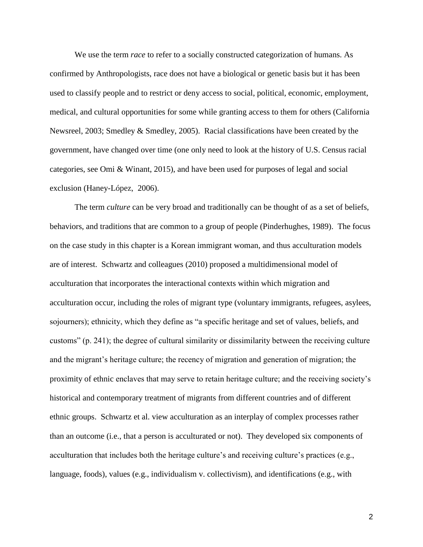We use the term *race* to refer to a socially constructed categorization of humans. As confirmed by Anthropologists, race does not have a biological or genetic basis but it has been used to classify people and to restrict or deny access to social, political, economic, employment, medical, and cultural opportunities for some while granting access to them for others (California Newsreel, 2003; Smedley & Smedley, 2005). Racial classifications have been created by the government, have changed over time (one only need to look at the history of U.S. Census racial categories, see Omi & Winant, 2015), and have been used for purposes of legal and social exclusion (Haney-López, 2006).

The term *culture* can be very broad and traditionally can be thought of as a set of beliefs, behaviors, and traditions that are common to a group of people (Pinderhughes, 1989). The focus on the case study in this chapter is a Korean immigrant woman, and thus acculturation models are of interest. Schwartz and colleagues (2010) proposed a multidimensional model of acculturation that incorporates the interactional contexts within which migration and acculturation occur, including the roles of migrant type (voluntary immigrants, refugees, asylees, sojourners); ethnicity, which they define as "a specific heritage and set of values, beliefs, and customs" (p. 241); the degree of cultural similarity or dissimilarity between the receiving culture and the migrant's heritage culture; the recency of migration and generation of migration; the proximity of ethnic enclaves that may serve to retain heritage culture; and the receiving society's historical and contemporary treatment of migrants from different countries and of different ethnic groups. Schwartz et al. view acculturation as an interplay of complex processes rather than an outcome (i.e., that a person is acculturated or not). They developed six components of acculturation that includes both the heritage culture's and receiving culture's practices (e.g., language, foods), values (e.g., individualism v. collectivism), and identifications (e.g., with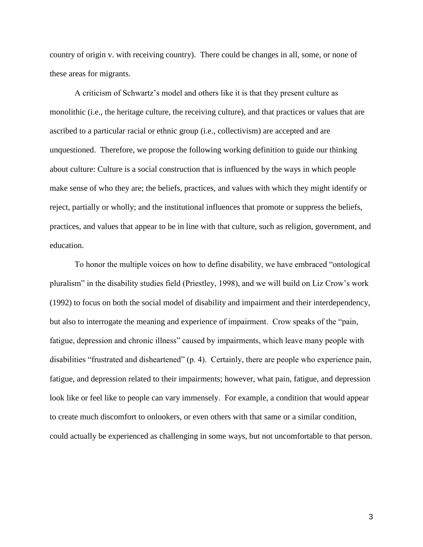country of origin v. with receiving country). There could be changes in all, some, or none of these areas for migrants.

A criticism of Schwartz's model and others like it is that they present culture as monolithic (i.e., the heritage culture, the receiving culture), and that practices or values that are ascribed to a particular racial or ethnic group (i.e., collectivism) are accepted and are unquestioned. Therefore, we propose the following working definition to guide our thinking about culture: Culture is a social construction that is influenced by the ways in which people make sense of who they are; the beliefs, practices, and values with which they might identify or reject, partially or wholly; and the institutional influences that promote or suppress the beliefs, practices, and values that appear to be in line with that culture, such as religion, government, and education.

To honor the multiple voices on how to define disability, we have embraced "ontological pluralism" in the disability studies field (Priestley, 1998), and we will build on Liz Crow's work (1992) to focus on both the social model of disability and impairment and their interdependency, but also to interrogate the meaning and experience of impairment. Crow speaks of the "pain, fatigue, depression and chronic illness" caused by impairments, which leave many people with disabilities "frustrated and disheartened" (p. 4). Certainly, there are people who experience pain, fatigue, and depression related to their impairments; however, what pain, fatigue, and depression look like or feel like to people can vary immensely. For example, a condition that would appear to create much discomfort to onlookers, or even others with that same or a similar condition, could actually be experienced as challenging in some ways, but not uncomfortable to that person.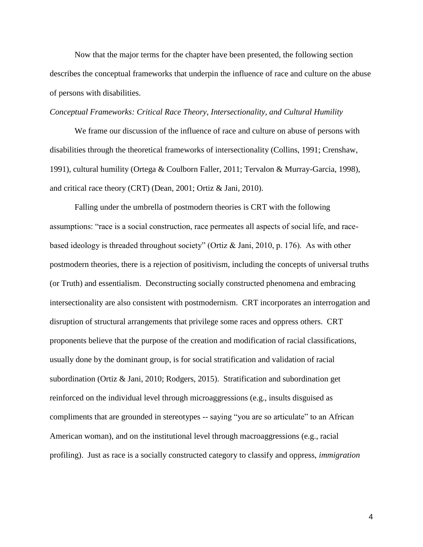Now that the major terms for the chapter have been presented, the following section describes the conceptual frameworks that underpin the influence of race and culture on the abuse of persons with disabilities.

# *Conceptual Frameworks: Critical Race Theory, Intersectionality, and Cultural Humility*

We frame our discussion of the influence of race and culture on abuse of persons with disabilities through the theoretical frameworks of intersectionality (Collins, 1991; Crenshaw, 1991), cultural humility (Ortega & Coulborn Faller, 2011; Tervalon & Murray-Garcia, 1998), and critical race theory (CRT) (Dean, 2001; Ortiz & Jani, 2010).

Falling under the umbrella of postmodern theories is CRT with the following assumptions: "race is a social construction, race permeates all aspects of social life, and racebased ideology is threaded throughout society" (Ortiz & Jani, 2010, p. 176). As with other postmodern theories, there is a rejection of positivism, including the concepts of universal truths (or Truth) and essentialism. Deconstructing socially constructed phenomena and embracing intersectionality are also consistent with postmodernism. CRT incorporates an interrogation and disruption of structural arrangements that privilege some races and oppress others. CRT proponents believe that the purpose of the creation and modification of racial classifications, usually done by the dominant group, is for social stratification and validation of racial subordination (Ortiz & Jani, 2010; Rodgers, 2015). Stratification and subordination get reinforced on the individual level through microaggressions (e.g., insults disguised as compliments that are grounded in stereotypes -- saying "you are so articulate" to an African American woman), and on the institutional level through macroaggressions (e.g., racial profiling). Just as race is a socially constructed category to classify and oppress, *immigration*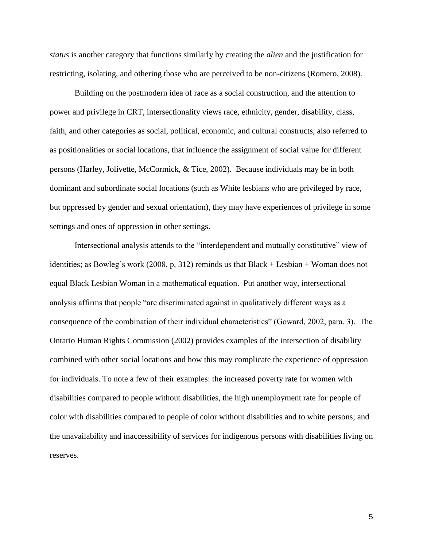*status* is another category that functions similarly by creating the *alien* and the justification for restricting, isolating, and othering those who are perceived to be non-citizens (Romero, 2008).

Building on the postmodern idea of race as a social construction, and the attention to power and privilege in CRT, intersectionality views race, ethnicity, gender, disability, class, faith, and other categories as social, political, economic, and cultural constructs, also referred to as positionalities or social locations, that influence the assignment of social value for different persons (Harley, Jolivette, McCormick, & Tice, 2002). Because individuals may be in both dominant and subordinate social locations (such as White lesbians who are privileged by race, but oppressed by gender and sexual orientation), they may have experiences of privilege in some settings and ones of oppression in other settings.

Intersectional analysis attends to the "interdependent and mutually constitutive" view of identities; as Bowleg's work (2008, p, 312) reminds us that Black + Lesbian + Woman does not equal Black Lesbian Woman in a mathematical equation. Put another way, intersectional analysis affirms that people "are discriminated against in qualitatively different ways as a consequence of the combination of their individual characteristics" (Goward, 2002, para. 3). The Ontario Human Rights Commission (2002) provides examples of the intersection of disability combined with other social locations and how this may complicate the experience of oppression for individuals. To note a few of their examples: the increased poverty rate for women with disabilities compared to people without disabilities, the high unemployment rate for people of color with disabilities compared to people of color without disabilities and to white persons; and the unavailability and inaccessibility of services for indigenous persons with disabilities living on reserves.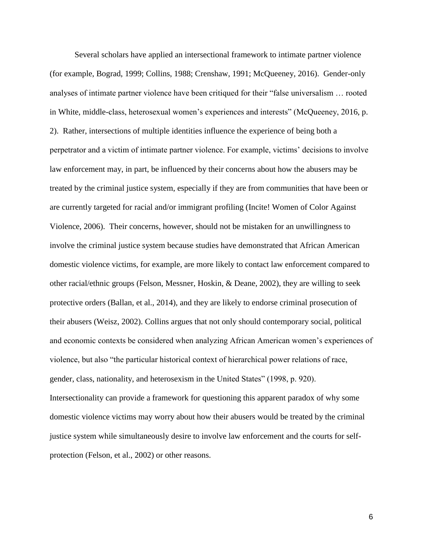Several scholars have applied an intersectional framework to intimate partner violence (for example, Bograd, 1999; Collins, 1988; Crenshaw, 1991; McQueeney, 2016). Gender-only analyses of intimate partner violence have been critiqued for their "false universalism … rooted in White, middle-class, heterosexual women's experiences and interests" (McQueeney, 2016, p. 2). Rather, intersections of multiple identities influence the experience of being both a perpetrator and a victim of intimate partner violence. For example, victims' decisions to involve law enforcement may, in part, be influenced by their concerns about how the abusers may be treated by the criminal justice system, especially if they are from communities that have been or are currently targeted for racial and/or immigrant profiling (Incite! Women of Color Against Violence, 2006). Their concerns, however, should not be mistaken for an unwillingness to involve the criminal justice system because studies have demonstrated that African American domestic violence victims, for example, are more likely to contact law enforcement compared to other racial/ethnic groups (Felson, Messner, Hoskin, & Deane, 2002), they are willing to seek protective orders (Ballan, et al., 2014), and they are likely to endorse criminal prosecution of their abusers (Weisz, 2002). Collins argues that not only should contemporary social, political and economic contexts be considered when analyzing African American women's experiences of violence, but also "the particular historical context of hierarchical power relations of race, gender, class, nationality, and heterosexism in the United States" (1998, p. 920). Intersectionality can provide a framework for questioning this apparent paradox of why some domestic violence victims may worry about how their abusers would be treated by the criminal justice system while simultaneously desire to involve law enforcement and the courts for selfprotection (Felson, et al., 2002) or other reasons.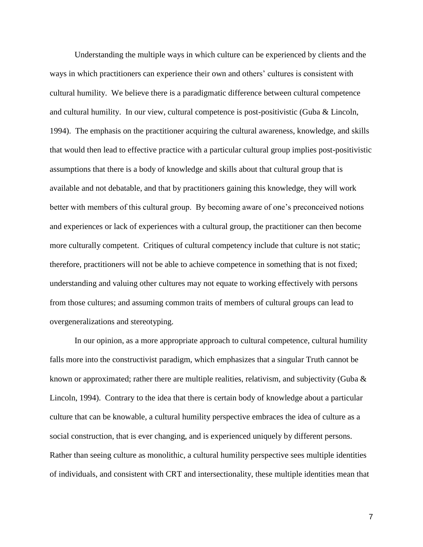Understanding the multiple ways in which culture can be experienced by clients and the ways in which practitioners can experience their own and others' cultures is consistent with cultural humility. We believe there is a paradigmatic difference between cultural competence and cultural humility. In our view, cultural competence is post-positivistic (Guba & Lincoln, 1994). The emphasis on the practitioner acquiring the cultural awareness, knowledge, and skills that would then lead to effective practice with a particular cultural group implies post-positivistic assumptions that there is a body of knowledge and skills about that cultural group that is available and not debatable, and that by practitioners gaining this knowledge, they will work better with members of this cultural group. By becoming aware of one's preconceived notions and experiences or lack of experiences with a cultural group, the practitioner can then become more culturally competent. Critiques of cultural competency include that culture is not static; therefore, practitioners will not be able to achieve competence in something that is not fixed; understanding and valuing other cultures may not equate to working effectively with persons from those cultures; and assuming common traits of members of cultural groups can lead to overgeneralizations and stereotyping.

In our opinion, as a more appropriate approach to cultural competence, cultural humility falls more into the constructivist paradigm, which emphasizes that a singular Truth cannot be known or approximated; rather there are multiple realities, relativism, and subjectivity (Guba  $\&$ Lincoln, 1994). Contrary to the idea that there is certain body of knowledge about a particular culture that can be knowable, a cultural humility perspective embraces the idea of culture as a social construction, that is ever changing, and is experienced uniquely by different persons. Rather than seeing culture as monolithic, a cultural humility perspective sees multiple identities of individuals, and consistent with CRT and intersectionality, these multiple identities mean that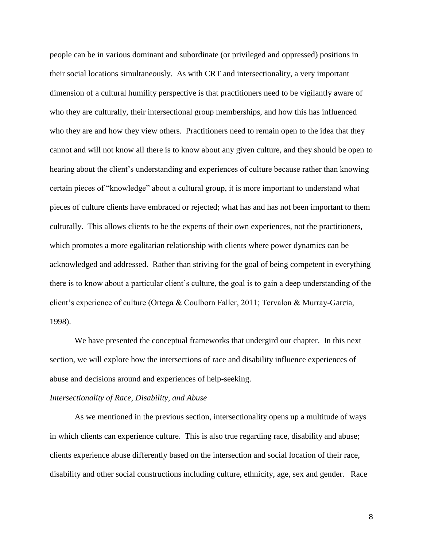people can be in various dominant and subordinate (or privileged and oppressed) positions in their social locations simultaneously. As with CRT and intersectionality, a very important dimension of a cultural humility perspective is that practitioners need to be vigilantly aware of who they are culturally, their intersectional group memberships, and how this has influenced who they are and how they view others. Practitioners need to remain open to the idea that they cannot and will not know all there is to know about any given culture, and they should be open to hearing about the client's understanding and experiences of culture because rather than knowing certain pieces of "knowledge" about a cultural group, it is more important to understand what pieces of culture clients have embraced or rejected; what has and has not been important to them culturally. This allows clients to be the experts of their own experiences, not the practitioners, which promotes a more egalitarian relationship with clients where power dynamics can be acknowledged and addressed. Rather than striving for the goal of being competent in everything there is to know about a particular client's culture, the goal is to gain a deep understanding of the client's experience of culture (Ortega & Coulborn Faller, 2011; Tervalon & Murray-Garcia, 1998).

We have presented the conceptual frameworks that undergird our chapter. In this next section, we will explore how the intersections of race and disability influence experiences of abuse and decisions around and experiences of help-seeking.

#### *Intersectionality of Race, Disability, and Abuse*

As we mentioned in the previous section, intersectionality opens up a multitude of ways in which clients can experience culture. This is also true regarding race, disability and abuse; clients experience abuse differently based on the intersection and social location of their race, disability and other social constructions including culture, ethnicity, age, sex and gender. Race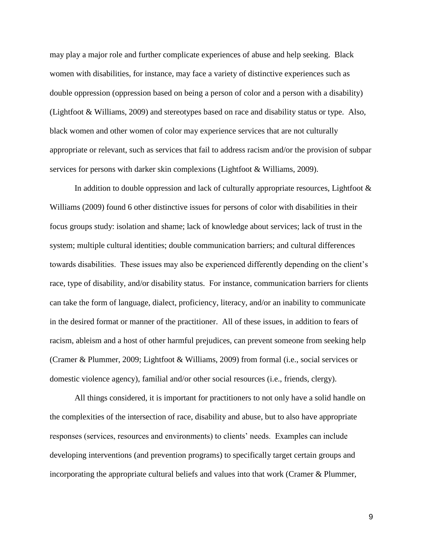may play a major role and further complicate experiences of abuse and help seeking. Black women with disabilities, for instance, may face a variety of distinctive experiences such as double oppression (oppression based on being a person of color and a person with a disability) (Lightfoot & Williams, 2009) and stereotypes based on race and disability status or type. Also, black women and other women of color may experience services that are not culturally appropriate or relevant, such as services that fail to address racism and/or the provision of subpar services for persons with darker skin complexions (Lightfoot & Williams, 2009).

In addition to double oppression and lack of culturally appropriate resources, Lightfoot  $\&$ Williams (2009) found 6 other distinctive issues for persons of color with disabilities in their focus groups study: isolation and shame; lack of knowledge about services; lack of trust in the system; multiple cultural identities; double communication barriers; and cultural differences towards disabilities. These issues may also be experienced differently depending on the client's race, type of disability, and/or disability status. For instance, communication barriers for clients can take the form of language, dialect, proficiency, literacy, and/or an inability to communicate in the desired format or manner of the practitioner. All of these issues, in addition to fears of racism, ableism and a host of other harmful prejudices, can prevent someone from seeking help (Cramer & Plummer, 2009; Lightfoot & Williams, 2009) from formal (i.e., social services or domestic violence agency), familial and/or other social resources (i.e., friends, clergy).

All things considered, it is important for practitioners to not only have a solid handle on the complexities of the intersection of race, disability and abuse, but to also have appropriate responses (services, resources and environments) to clients' needs. Examples can include developing interventions (and prevention programs) to specifically target certain groups and incorporating the appropriate cultural beliefs and values into that work (Cramer & Plummer,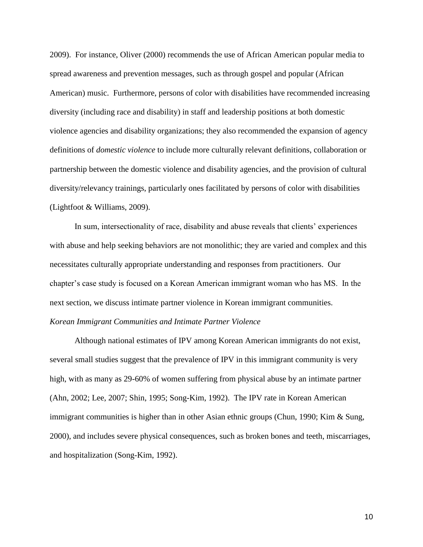2009). For instance, Oliver (2000) recommends the use of African American popular media to spread awareness and prevention messages, such as through gospel and popular (African American) music. Furthermore, persons of color with disabilities have recommended increasing diversity (including race and disability) in staff and leadership positions at both domestic violence agencies and disability organizations; they also recommended the expansion of agency definitions of *domestic violence* to include more culturally relevant definitions, collaboration or partnership between the domestic violence and disability agencies, and the provision of cultural diversity/relevancy trainings, particularly ones facilitated by persons of color with disabilities (Lightfoot & Williams, 2009).

In sum, intersectionality of race, disability and abuse reveals that clients' experiences with abuse and help seeking behaviors are not monolithic; they are varied and complex and this necessitates culturally appropriate understanding and responses from practitioners. Our chapter's case study is focused on a Korean American immigrant woman who has MS. In the next section, we discuss intimate partner violence in Korean immigrant communities. *Korean Immigrant Communities and Intimate Partner Violence*

Although national estimates of IPV among Korean American immigrants do not exist, several small studies suggest that the prevalence of IPV in this immigrant community is very high, with as many as 29-60% of women suffering from physical abuse by an intimate partner (Ahn, 2002; Lee, 2007; Shin, 1995; Song-Kim, 1992). The IPV rate in Korean American immigrant communities is higher than in other Asian ethnic groups (Chun, 1990; Kim & Sung, 2000), and includes severe physical consequences, such as broken bones and teeth, miscarriages, and hospitalization (Song-Kim, 1992).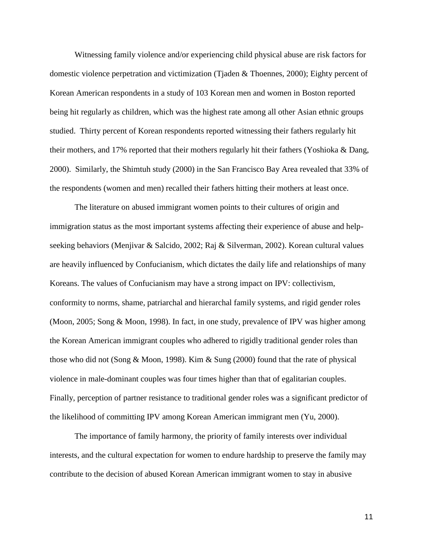Witnessing family violence and/or experiencing child physical abuse are risk factors for domestic violence perpetration and victimization (Tjaden & Thoennes, 2000); Eighty percent of Korean American respondents in a study of 103 Korean men and women in Boston reported being hit regularly as children, which was the highest rate among all other Asian ethnic groups studied. Thirty percent of Korean respondents reported witnessing their fathers regularly hit their mothers, and 17% reported that their mothers regularly hit their fathers (Yoshioka & Dang, 2000). Similarly, the Shimtuh study (2000) in the San Francisco Bay Area revealed that 33% of the respondents (women and men) recalled their fathers hitting their mothers at least once.

The literature on abused immigrant women points to their cultures of origin and immigration status as the most important systems affecting their experience of abuse and helpseeking behaviors (Menjivar & Salcido, 2002; Raj & Silverman, 2002). Korean cultural values are heavily influenced by Confucianism, which dictates the daily life and relationships of many Koreans. The values of Confucianism may have a strong impact on IPV: collectivism, conformity to norms, shame, patriarchal and hierarchal family systems, and rigid gender roles (Moon, 2005; Song & Moon, 1998). In fact, in one study, prevalence of IPV was higher among the Korean American immigrant couples who adhered to rigidly traditional gender roles than those who did not (Song & Moon, 1998). Kim & Sung (2000) found that the rate of physical violence in male-dominant couples was four times higher than that of egalitarian couples. Finally, perception of partner resistance to traditional gender roles was a significant predictor of the likelihood of committing IPV among Korean American immigrant men (Yu, 2000).

The importance of family harmony, the priority of family interests over individual interests, and the cultural expectation for women to endure hardship to preserve the family may contribute to the decision of abused Korean American immigrant women to stay in abusive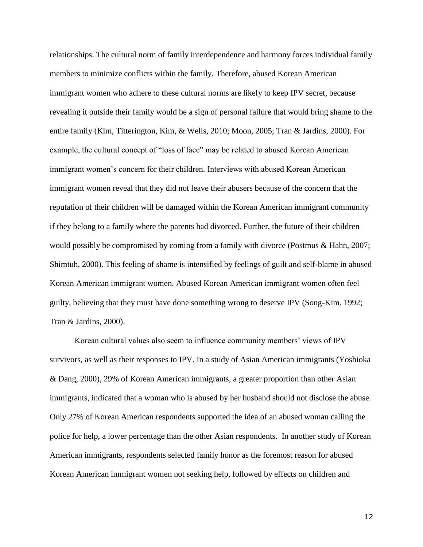relationships. The cultural norm of family interdependence and harmony forces individual family members to minimize conflicts within the family. Therefore, abused Korean American immigrant women who adhere to these cultural norms are likely to keep IPV secret, because revealing it outside their family would be a sign of personal failure that would bring shame to the entire family (Kim, Titterington, Kim, & Wells, 2010; Moon, 2005; Tran & Jardins, 2000). For example, the cultural concept of "loss of face" may be related to abused Korean American immigrant women's concern for their children. Interviews with abused Korean American immigrant women reveal that they did not leave their abusers because of the concern that the reputation of their children will be damaged within the Korean American immigrant community if they belong to a family where the parents had divorced. Further, the future of their children would possibly be compromised by coming from a family with divorce (Postmus & Hahn, 2007; Shimtuh, 2000). This feeling of shame is intensified by feelings of guilt and self-blame in abused Korean American immigrant women. Abused Korean American immigrant women often feel guilty, believing that they must have done something wrong to deserve IPV (Song-Kim, 1992; Tran & Jardins, 2000).

Korean cultural values also seem to influence community members' views of IPV survivors, as well as their responses to IPV. In a study of Asian American immigrants (Yoshioka & Dang, 2000), 29% of Korean American immigrants, a greater proportion than other Asian immigrants, indicated that a woman who is abused by her husband should not disclose the abuse. Only 27% of Korean American respondents supported the idea of an abused woman calling the police for help, a lower percentage than the other Asian respondents. In another study of Korean American immigrants, respondents selected family honor as the foremost reason for abused Korean American immigrant women not seeking help, followed by effects on children and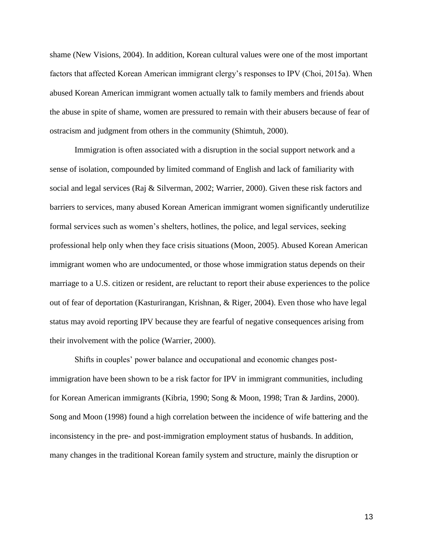shame (New Visions, 2004). In addition, Korean cultural values were one of the most important factors that affected Korean American immigrant clergy's responses to IPV (Choi, 2015a). When abused Korean American immigrant women actually talk to family members and friends about the abuse in spite of shame, women are pressured to remain with their abusers because of fear of ostracism and judgment from others in the community (Shimtuh, 2000).

Immigration is often associated with a disruption in the social support network and a sense of isolation, compounded by limited command of English and lack of familiarity with social and legal services (Raj & Silverman, 2002; Warrier, 2000). Given these risk factors and barriers to services, many abused Korean American immigrant women significantly underutilize formal services such as women's shelters, hotlines, the police, and legal services, seeking professional help only when they face crisis situations (Moon, 2005). Abused Korean American immigrant women who are undocumented, or those whose immigration status depends on their marriage to a U.S. citizen or resident, are reluctant to report their abuse experiences to the police out of fear of deportation (Kasturirangan, Krishnan, & Riger, 2004). Even those who have legal status may avoid reporting IPV because they are fearful of negative consequences arising from their involvement with the police (Warrier, 2000).

Shifts in couples' power balance and occupational and economic changes postimmigration have been shown to be a risk factor for IPV in immigrant communities, including for Korean American immigrants (Kibria, 1990; Song & Moon, 1998; Tran & Jardins, 2000). Song and Moon (1998) found a high correlation between the incidence of wife battering and the inconsistency in the pre- and post-immigration employment status of husbands. In addition, many changes in the traditional Korean family system and structure, mainly the disruption or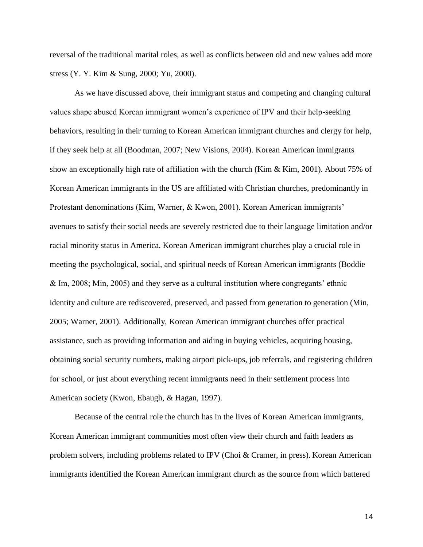reversal of the traditional marital roles, as well as conflicts between old and new values add more stress (Y. Y. Kim & Sung, 2000; Yu, 2000).

As we have discussed above, their immigrant status and competing and changing cultural values shape abused Korean immigrant women's experience of IPV and their help-seeking behaviors, resulting in their turning to Korean American immigrant churches and clergy for help, if they seek help at all (Boodman, 2007; New Visions, 2004). Korean American immigrants show an exceptionally high rate of affiliation with the church (Kim & Kim, 2001). About 75% of Korean American immigrants in the US are affiliated with Christian churches, predominantly in Protestant denominations (Kim, Warner, & Kwon, 2001). Korean American immigrants' avenues to satisfy their social needs are severely restricted due to their language limitation and/or racial minority status in America. Korean American immigrant churches play a crucial role in meeting the psychological, social, and spiritual needs of Korean American immigrants (Boddie & Im, 2008; Min, 2005) and they serve as a cultural institution where congregants' ethnic identity and culture are rediscovered, preserved, and passed from generation to generation (Min, 2005; Warner, 2001). Additionally, Korean American immigrant churches offer practical assistance, such as providing information and aiding in buying vehicles, acquiring housing, obtaining social security numbers, making airport pick-ups, job referrals, and registering children for school, or just about everything recent immigrants need in their settlement process into American society (Kwon, Ebaugh, & Hagan, 1997).

Because of the central role the church has in the lives of Korean American immigrants, Korean American immigrant communities most often view their church and faith leaders as problem solvers, including problems related to IPV (Choi & Cramer, in press). Korean American immigrants identified the Korean American immigrant church as the source from which battered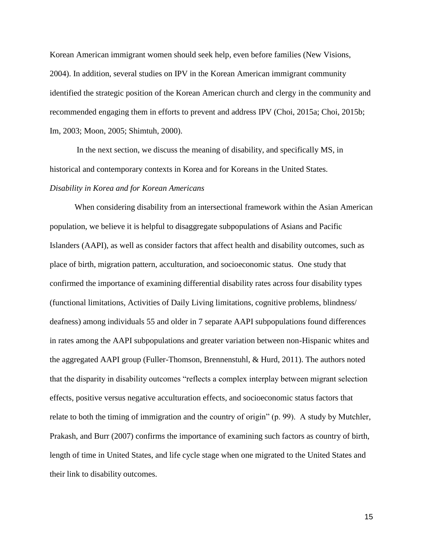Korean American immigrant women should seek help, even before families (New Visions, 2004). In addition, several studies on IPV in the Korean American immigrant community identified the strategic position of the Korean American church and clergy in the community and recommended engaging them in efforts to prevent and address IPV (Choi, 2015a; Choi, 2015b; Im, 2003; Moon, 2005; Shimtuh, 2000).

In the next section, we discuss the meaning of disability, and specifically MS, in historical and contemporary contexts in Korea and for Koreans in the United States.

# *Disability in Korea and for Korean Americans*

When considering disability from an intersectional framework within the Asian American population, we believe it is helpful to disaggregate subpopulations of Asians and Pacific Islanders (AAPI), as well as consider factors that affect health and disability outcomes, such as place of birth, migration pattern, acculturation, and socioeconomic status. One study that confirmed the importance of examining differential disability rates across four disability types (functional limitations, Activities of Daily Living limitations, cognitive problems, blindness/ deafness) among individuals 55 and older in 7 separate AAPI subpopulations found differences in rates among the AAPI subpopulations and greater variation between non-Hispanic whites and the aggregated AAPI group (Fuller-Thomson, Brennenstuhl, & Hurd, 2011). The authors noted that the disparity in disability outcomes "reflects a complex interplay between migrant selection effects, positive versus negative acculturation effects, and socioeconomic status factors that relate to both the timing of immigration and the country of origin" (p. 99). A study by Mutchler, Prakash, and Burr (2007) confirms the importance of examining such factors as country of birth, length of time in United States, and life cycle stage when one migrated to the United States and their link to disability outcomes.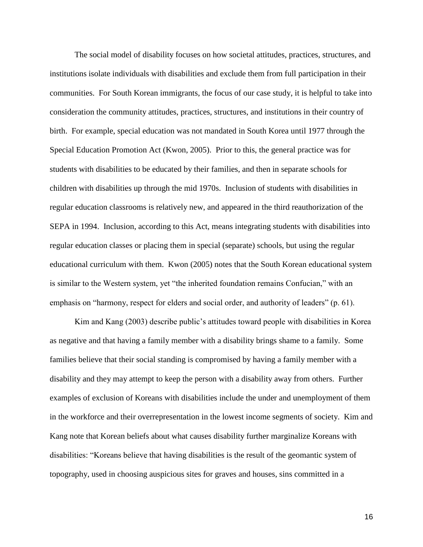The social model of disability focuses on how societal attitudes, practices, structures, and institutions isolate individuals with disabilities and exclude them from full participation in their communities. For South Korean immigrants, the focus of our case study, it is helpful to take into consideration the community attitudes, practices, structures, and institutions in their country of birth. For example, special education was not mandated in South Korea until 1977 through the Special Education Promotion Act (Kwon, 2005). Prior to this, the general practice was for students with disabilities to be educated by their families, and then in separate schools for children with disabilities up through the mid 1970s. Inclusion of students with disabilities in regular education classrooms is relatively new, and appeared in the third reauthorization of the SEPA in 1994. Inclusion, according to this Act, means integrating students with disabilities into regular education classes or placing them in special (separate) schools, but using the regular educational curriculum with them. Kwon (2005) notes that the South Korean educational system is similar to the Western system, yet "the inherited foundation remains Confucian," with an emphasis on "harmony, respect for elders and social order, and authority of leaders" (p. 61).

Kim and Kang (2003) describe public's attitudes toward people with disabilities in Korea as negative and that having a family member with a disability brings shame to a family. Some families believe that their social standing is compromised by having a family member with a disability and they may attempt to keep the person with a disability away from others. Further examples of exclusion of Koreans with disabilities include the under and unemployment of them in the workforce and their overrepresentation in the lowest income segments of society. Kim and Kang note that Korean beliefs about what causes disability further marginalize Koreans with disabilities: "Koreans believe that having disabilities is the result of the geomantic system of topography, used in choosing auspicious sites for graves and houses, sins committed in a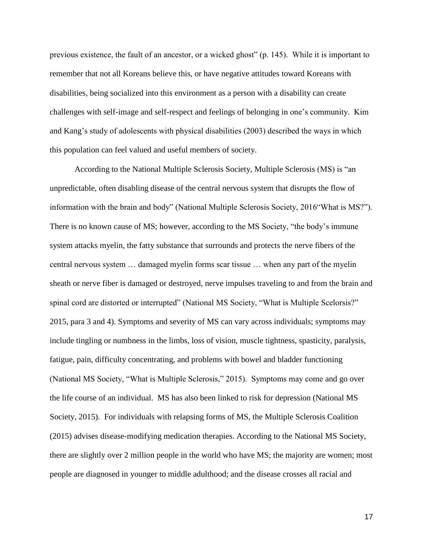previous existence, the fault of an ancestor, or a wicked ghost" (p. 145). While it is important to remember that not all Koreans believe this, or have negative attitudes toward Koreans with disabilities, being socialized into this environment as a person with a disability can create challenges with self-image and self-respect and feelings of belonging in one's community. Kim and Kang's study of adolescents with physical disabilities (2003) described the ways in which this population can feel valued and useful members of society.

According to the National Multiple Sclerosis Society, Multiple Sclerosis (MS) is "an unpredictable, often disabling disease of the central nervous system that disrupts the flow of information with the brain and body" (National Multiple Sclerosis Society, 2016"What is MS?"). There is no known cause of MS; however, according to the MS Society, "the body's immune system attacks myelin, the fatty substance that surrounds and protects the nerve fibers of the central nervous system … damaged myelin forms scar tissue … when any part of the myelin sheath or nerve fiber is damaged or destroyed, nerve impulses traveling to and from the brain and spinal cord are distorted or interrupted" (National MS Society, "What is Multiple Scelorsis?" 2015, para 3 and 4). Symptoms and severity of MS can vary across individuals; symptoms may include tingling or numbness in the limbs, loss of vision, muscle tightness, spasticity, paralysis, fatigue, pain, difficulty concentrating, and problems with bowel and bladder functioning (National MS Society, "What is Multiple Sclerosis," 2015). Symptoms may come and go over the life course of an individual. MS has also been linked to risk for depression (National MS Society, 2015). For individuals with relapsing forms of MS, the Multiple Sclerosis Coalition (2015) advises disease-modifying medication therapies. According to the National MS Society, there are slightly over 2 million people in the world who have MS; the majority are women; most people are diagnosed in younger to middle adulthood; and the disease crosses all racial and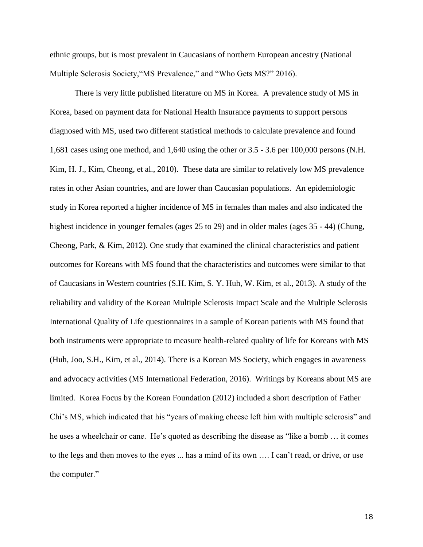ethnic groups, but is most prevalent in Caucasians of northern European ancestry (National Multiple Sclerosis Society,"MS Prevalence," and "Who Gets MS?" 2016).

There is very little published literature on MS in Korea. A prevalence study of MS in Korea, based on payment data for National Health Insurance payments to support persons diagnosed with MS, used two different statistical methods to calculate prevalence and found 1,681 cases using one method, and 1,640 using the other or 3.5 - 3.6 per 100,000 persons (N.H. Kim, H. J., Kim, Cheong, et al., 2010). These data are similar to relatively low MS prevalence rates in other Asian countries, and are lower than Caucasian populations. An epidemiologic study in Korea reported a higher incidence of MS in females than males and also indicated the highest incidence in younger females (ages 25 to 29) and in older males (ages 35 - 44) (Chung, Cheong, Park, & Kim, 2012). One study that examined the clinical characteristics and patient outcomes for Koreans with MS found that the characteristics and outcomes were similar to that of Caucasians in Western countries (S.H. Kim, S. Y. Huh, W. Kim, et al., 2013). A study of the reliability and validity of the Korean Multiple Sclerosis Impact Scale and the Multiple Sclerosis International Quality of Life questionnaires in a sample of Korean patients with MS found that both instruments were appropriate to measure health-related quality of life for Koreans with MS (Huh, Joo, S.H., Kim, et al., 2014). There is a Korean MS Society, which engages in awareness and advocacy activities (MS International Federation, 2016). Writings by Koreans about MS are limited. Korea Focus by the Korean Foundation (2012) included a short description of Father Chi's MS, which indicated that his "years of making cheese left him with multiple sclerosis" and he uses a wheelchair or cane. He's quoted as describing the disease as "like a bomb … it comes to the legs and then moves to the eyes ... has a mind of its own …. I can't read, or drive, or use the computer."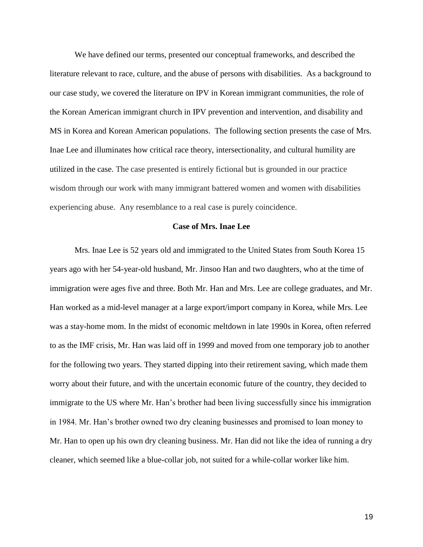We have defined our terms, presented our conceptual frameworks, and described the literature relevant to race, culture, and the abuse of persons with disabilities. As a background to our case study, we covered the literature on IPV in Korean immigrant communities, the role of the Korean American immigrant church in IPV prevention and intervention, and disability and MS in Korea and Korean American populations. The following section presents the case of Mrs. Inae Lee and illuminates how critical race theory, intersectionality, and cultural humility are utilized in the case. The case presented is entirely fictional but is grounded in our practice wisdom through our work with many immigrant battered women and women with disabilities experiencing abuse. Any resemblance to a real case is purely coincidence.

# **Case of Mrs. Inae Lee**

Mrs. Inae Lee is 52 years old and immigrated to the United States from South Korea 15 years ago with her 54-year-old husband, Mr. Jinsoo Han and two daughters, who at the time of immigration were ages five and three. Both Mr. Han and Mrs. Lee are college graduates, and Mr. Han worked as a mid-level manager at a large export/import company in Korea, while Mrs. Lee was a stay-home mom. In the midst of economic meltdown in late 1990s in Korea, often referred to as the IMF crisis, Mr. Han was laid off in 1999 and moved from one temporary job to another for the following two years. They started dipping into their retirement saving, which made them worry about their future, and with the uncertain economic future of the country, they decided to immigrate to the US where Mr. Han's brother had been living successfully since his immigration in 1984. Mr. Han's brother owned two dry cleaning businesses and promised to loan money to Mr. Han to open up his own dry cleaning business. Mr. Han did not like the idea of running a dry cleaner, which seemed like a blue-collar job, not suited for a while-collar worker like him.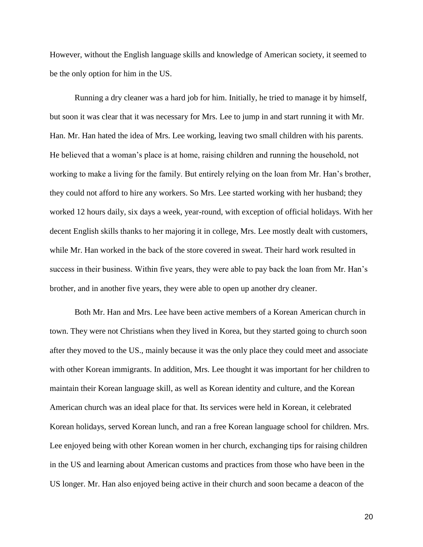However, without the English language skills and knowledge of American society, it seemed to be the only option for him in the US.

Running a dry cleaner was a hard job for him. Initially, he tried to manage it by himself, but soon it was clear that it was necessary for Mrs. Lee to jump in and start running it with Mr. Han. Mr. Han hated the idea of Mrs. Lee working, leaving two small children with his parents. He believed that a woman's place is at home, raising children and running the household, not working to make a living for the family. But entirely relying on the loan from Mr. Han's brother, they could not afford to hire any workers. So Mrs. Lee started working with her husband; they worked 12 hours daily, six days a week, year-round, with exception of official holidays. With her decent English skills thanks to her majoring it in college, Mrs. Lee mostly dealt with customers, while Mr. Han worked in the back of the store covered in sweat. Their hard work resulted in success in their business. Within five years, they were able to pay back the loan from Mr. Han's brother, and in another five years, they were able to open up another dry cleaner.

Both Mr. Han and Mrs. Lee have been active members of a Korean American church in town. They were not Christians when they lived in Korea, but they started going to church soon after they moved to the US., mainly because it was the only place they could meet and associate with other Korean immigrants. In addition, Mrs. Lee thought it was important for her children to maintain their Korean language skill, as well as Korean identity and culture, and the Korean American church was an ideal place for that. Its services were held in Korean, it celebrated Korean holidays, served Korean lunch, and ran a free Korean language school for children. Mrs. Lee enjoyed being with other Korean women in her church, exchanging tips for raising children in the US and learning about American customs and practices from those who have been in the US longer. Mr. Han also enjoyed being active in their church and soon became a deacon of the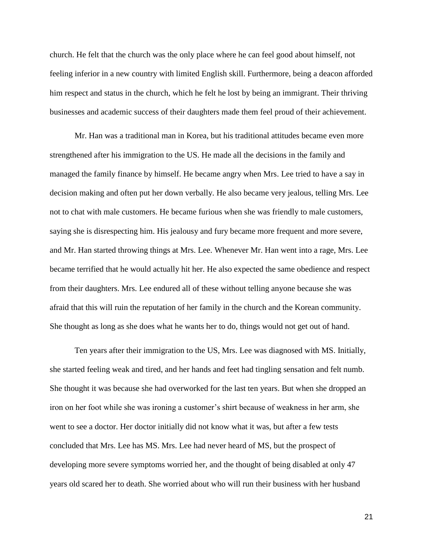church. He felt that the church was the only place where he can feel good about himself, not feeling inferior in a new country with limited English skill. Furthermore, being a deacon afforded him respect and status in the church, which he felt he lost by being an immigrant. Their thriving businesses and academic success of their daughters made them feel proud of their achievement.

Mr. Han was a traditional man in Korea, but his traditional attitudes became even more strengthened after his immigration to the US. He made all the decisions in the family and managed the family finance by himself. He became angry when Mrs. Lee tried to have a say in decision making and often put her down verbally. He also became very jealous, telling Mrs. Lee not to chat with male customers. He became furious when she was friendly to male customers, saying she is disrespecting him. His jealousy and fury became more frequent and more severe, and Mr. Han started throwing things at Mrs. Lee. Whenever Mr. Han went into a rage, Mrs. Lee became terrified that he would actually hit her. He also expected the same obedience and respect from their daughters. Mrs. Lee endured all of these without telling anyone because she was afraid that this will ruin the reputation of her family in the church and the Korean community. She thought as long as she does what he wants her to do, things would not get out of hand.

Ten years after their immigration to the US, Mrs. Lee was diagnosed with MS. Initially, she started feeling weak and tired, and her hands and feet had tingling sensation and felt numb. She thought it was because she had overworked for the last ten years. But when she dropped an iron on her foot while she was ironing a customer's shirt because of weakness in her arm, she went to see a doctor. Her doctor initially did not know what it was, but after a few tests concluded that Mrs. Lee has MS. Mrs. Lee had never heard of MS, but the prospect of developing more severe symptoms worried her, and the thought of being disabled at only 47 years old scared her to death. She worried about who will run their business with her husband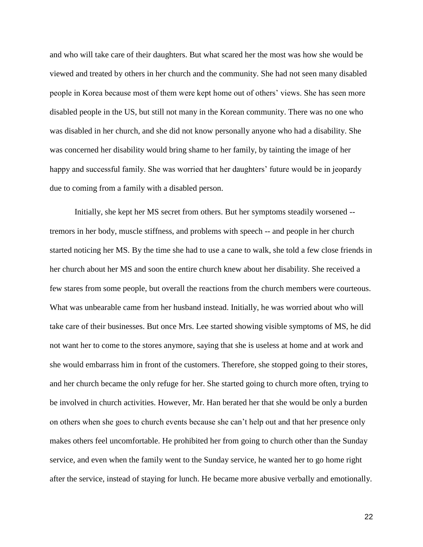and who will take care of their daughters. But what scared her the most was how she would be viewed and treated by others in her church and the community. She had not seen many disabled people in Korea because most of them were kept home out of others' views. She has seen more disabled people in the US, but still not many in the Korean community. There was no one who was disabled in her church, and she did not know personally anyone who had a disability. She was concerned her disability would bring shame to her family, by tainting the image of her happy and successful family. She was worried that her daughters' future would be in jeopardy due to coming from a family with a disabled person.

Initially, she kept her MS secret from others. But her symptoms steadily worsened - tremors in her body, muscle stiffness, and problems with speech -- and people in her church started noticing her MS. By the time she had to use a cane to walk, she told a few close friends in her church about her MS and soon the entire church knew about her disability. She received a few stares from some people, but overall the reactions from the church members were courteous. What was unbearable came from her husband instead. Initially, he was worried about who will take care of their businesses. But once Mrs. Lee started showing visible symptoms of MS, he did not want her to come to the stores anymore, saying that she is useless at home and at work and she would embarrass him in front of the customers. Therefore, she stopped going to their stores, and her church became the only refuge for her. She started going to church more often, trying to be involved in church activities. However, Mr. Han berated her that she would be only a burden on others when she goes to church events because she can't help out and that her presence only makes others feel uncomfortable. He prohibited her from going to church other than the Sunday service, and even when the family went to the Sunday service, he wanted her to go home right after the service, instead of staying for lunch. He became more abusive verbally and emotionally.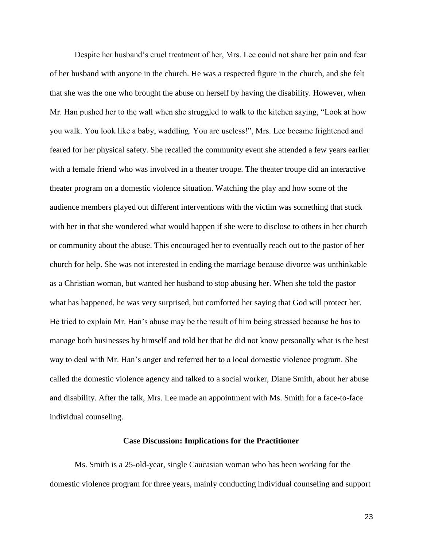Despite her husband's cruel treatment of her, Mrs. Lee could not share her pain and fear of her husband with anyone in the church. He was a respected figure in the church, and she felt that she was the one who brought the abuse on herself by having the disability. However, when Mr. Han pushed her to the wall when she struggled to walk to the kitchen saying, "Look at how you walk. You look like a baby, waddling. You are useless!", Mrs. Lee became frightened and feared for her physical safety. She recalled the community event she attended a few years earlier with a female friend who was involved in a theater troupe. The theater troupe did an interactive theater program on a domestic violence situation. Watching the play and how some of the audience members played out different interventions with the victim was something that stuck with her in that she wondered what would happen if she were to disclose to others in her church or community about the abuse. This encouraged her to eventually reach out to the pastor of her church for help. She was not interested in ending the marriage because divorce was unthinkable as a Christian woman, but wanted her husband to stop abusing her. When she told the pastor what has happened, he was very surprised, but comforted her saying that God will protect her. He tried to explain Mr. Han's abuse may be the result of him being stressed because he has to manage both businesses by himself and told her that he did not know personally what is the best way to deal with Mr. Han's anger and referred her to a local domestic violence program. She called the domestic violence agency and talked to a social worker, Diane Smith, about her abuse and disability. After the talk, Mrs. Lee made an appointment with Ms. Smith for a face-to-face individual counseling.

# **Case Discussion: Implications for the Practitioner**

Ms. Smith is a 25-old-year, single Caucasian woman who has been working for the domestic violence program for three years, mainly conducting individual counseling and support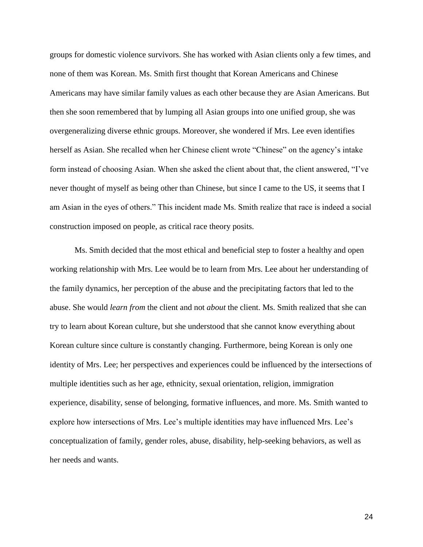groups for domestic violence survivors. She has worked with Asian clients only a few times, and none of them was Korean. Ms. Smith first thought that Korean Americans and Chinese Americans may have similar family values as each other because they are Asian Americans. But then she soon remembered that by lumping all Asian groups into one unified group, she was overgeneralizing diverse ethnic groups. Moreover, she wondered if Mrs. Lee even identifies herself as Asian. She recalled when her Chinese client wrote "Chinese" on the agency's intake form instead of choosing Asian. When she asked the client about that, the client answered, "I've never thought of myself as being other than Chinese, but since I came to the US, it seems that I am Asian in the eyes of others." This incident made Ms. Smith realize that race is indeed a social construction imposed on people, as critical race theory posits.

Ms. Smith decided that the most ethical and beneficial step to foster a healthy and open working relationship with Mrs. Lee would be to learn from Mrs. Lee about her understanding of the family dynamics, her perception of the abuse and the precipitating factors that led to the abuse. She would *learn from* the client and not *about* the client. Ms. Smith realized that she can try to learn about Korean culture, but she understood that she cannot know everything about Korean culture since culture is constantly changing. Furthermore, being Korean is only one identity of Mrs. Lee; her perspectives and experiences could be influenced by the intersections of multiple identities such as her age, ethnicity, sexual orientation, religion, immigration experience, disability, sense of belonging, formative influences, and more. Ms. Smith wanted to explore how intersections of Mrs. Lee's multiple identities may have influenced Mrs. Lee's conceptualization of family, gender roles, abuse, disability, help-seeking behaviors, as well as her needs and wants.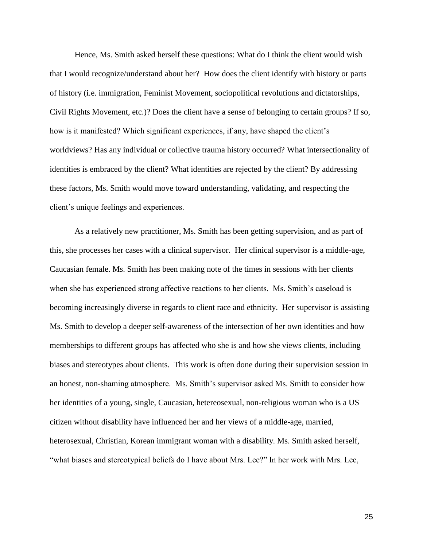Hence, Ms. Smith asked herself these questions: What do I think the client would wish that I would recognize/understand about her? How does the client identify with history or parts of history (i.e. immigration, Feminist Movement, sociopolitical revolutions and dictatorships, Civil Rights Movement, etc.)? Does the client have a sense of belonging to certain groups? If so, how is it manifested? Which significant experiences, if any, have shaped the client's worldviews? Has any individual or collective trauma history occurred? What intersectionality of identities is embraced by the client? What identities are rejected by the client? By addressing these factors, Ms. Smith would move toward understanding, validating, and respecting the client's unique feelings and experiences.

As a relatively new practitioner, Ms. Smith has been getting supervision, and as part of this, she processes her cases with a clinical supervisor. Her clinical supervisor is a middle-age, Caucasian female. Ms. Smith has been making note of the times in sessions with her clients when she has experienced strong affective reactions to her clients. Ms. Smith's caseload is becoming increasingly diverse in regards to client race and ethnicity. Her supervisor is assisting Ms. Smith to develop a deeper self-awareness of the intersection of her own identities and how memberships to different groups has affected who she is and how she views clients, including biases and stereotypes about clients. This work is often done during their supervision session in an honest, non-shaming atmosphere. Ms. Smith's supervisor asked Ms. Smith to consider how her identities of a young, single, Caucasian, hetereosexual, non-religious woman who is a US citizen without disability have influenced her and her views of a middle-age, married, heterosexual, Christian, Korean immigrant woman with a disability. Ms. Smith asked herself, "what biases and stereotypical beliefs do I have about Mrs. Lee?" In her work with Mrs. Lee,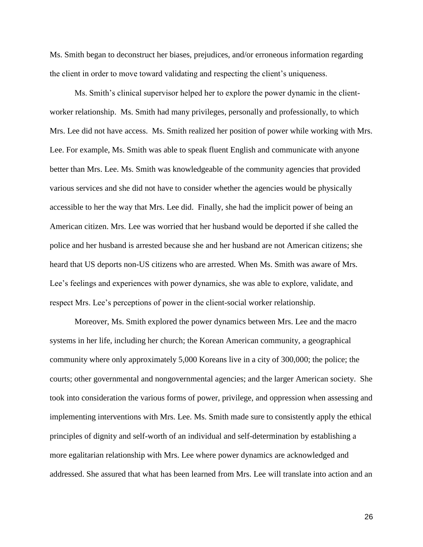Ms. Smith began to deconstruct her biases, prejudices, and/or erroneous information regarding the client in order to move toward validating and respecting the client's uniqueness.

Ms. Smith's clinical supervisor helped her to explore the power dynamic in the clientworker relationship. Ms. Smith had many privileges, personally and professionally, to which Mrs. Lee did not have access. Ms. Smith realized her position of power while working with Mrs. Lee. For example, Ms. Smith was able to speak fluent English and communicate with anyone better than Mrs. Lee. Ms. Smith was knowledgeable of the community agencies that provided various services and she did not have to consider whether the agencies would be physically accessible to her the way that Mrs. Lee did. Finally, she had the implicit power of being an American citizen. Mrs. Lee was worried that her husband would be deported if she called the police and her husband is arrested because she and her husband are not American citizens; she heard that US deports non-US citizens who are arrested. When Ms. Smith was aware of Mrs. Lee's feelings and experiences with power dynamics, she was able to explore, validate, and respect Mrs. Lee's perceptions of power in the client-social worker relationship.

Moreover, Ms. Smith explored the power dynamics between Mrs. Lee and the macro systems in her life, including her church; the Korean American community, a geographical community where only approximately 5,000 Koreans live in a city of 300,000; the police; the courts; other governmental and nongovernmental agencies; and the larger American society. She took into consideration the various forms of power, privilege, and oppression when assessing and implementing interventions with Mrs. Lee. Ms. Smith made sure to consistently apply the ethical principles of dignity and self-worth of an individual and self-determination by establishing a more egalitarian relationship with Mrs. Lee where power dynamics are acknowledged and addressed. She assured that what has been learned from Mrs. Lee will translate into action and an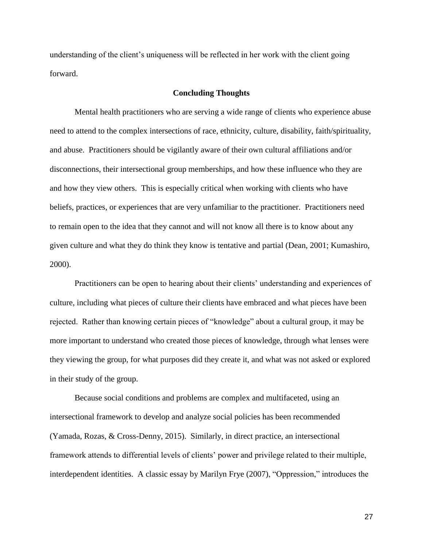understanding of the client's uniqueness will be reflected in her work with the client going forward.

# **Concluding Thoughts**

Mental health practitioners who are serving a wide range of clients who experience abuse need to attend to the complex intersections of race, ethnicity, culture, disability, faith/spirituality, and abuse. Practitioners should be vigilantly aware of their own cultural affiliations and/or disconnections, their intersectional group memberships, and how these influence who they are and how they view others. This is especially critical when working with clients who have beliefs, practices, or experiences that are very unfamiliar to the practitioner. Practitioners need to remain open to the idea that they cannot and will not know all there is to know about any given culture and what they do think they know is tentative and partial (Dean, 2001; Kumashiro, 2000).

Practitioners can be open to hearing about their clients' understanding and experiences of culture, including what pieces of culture their clients have embraced and what pieces have been rejected. Rather than knowing certain pieces of "knowledge" about a cultural group, it may be more important to understand who created those pieces of knowledge, through what lenses were they viewing the group, for what purposes did they create it, and what was not asked or explored in their study of the group.

Because social conditions and problems are complex and multifaceted, using an intersectional framework to develop and analyze social policies has been recommended (Yamada, Rozas, & Cross-Denny, 2015). Similarly, in direct practice, an intersectional framework attends to differential levels of clients' power and privilege related to their multiple, interdependent identities. A classic essay by Marilyn Frye (2007), "Oppression," introduces the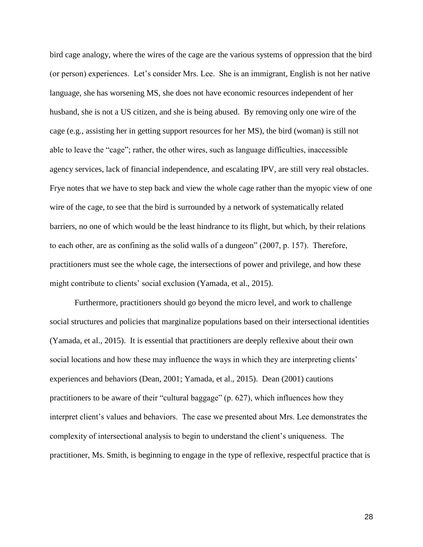bird cage analogy, where the wires of the cage are the various systems of oppression that the bird (or person) experiences. Let's consider Mrs. Lee. She is an immigrant, English is not her native language, she has worsening MS, she does not have economic resources independent of her husband, she is not a US citizen, and she is being abused. By removing only one wire of the cage (e.g., assisting her in getting support resources for her MS), the bird (woman) is still not able to leave the "cage"; rather, the other wires, such as language difficulties, inaccessible agency services, lack of financial independence, and escalating IPV, are still very real obstacles. Frye notes that we have to step back and view the whole cage rather than the myopic view of one wire of the cage, to see that the bird is surrounded by a network of systematically related barriers, no one of which would be the least hindrance to its flight, but which, by their relations to each other, are as confining as the solid walls of a dungeon" (2007, p. 157). Therefore, practitioners must see the whole cage, the intersections of power and privilege, and how these might contribute to clients' social exclusion (Yamada, et al., 2015).

Furthermore, practitioners should go beyond the micro level, and work to challenge social structures and policies that marginalize populations based on their intersectional identities (Yamada, et al., 2015). It is essential that practitioners are deeply reflexive about their own social locations and how these may influence the ways in which they are interpreting clients' experiences and behaviors (Dean, 2001; Yamada, et al., 2015). Dean (2001) cautions practitioners to be aware of their "cultural baggage" (p. 627), which influences how they interpret client's values and behaviors. The case we presented about Mrs. Lee demonstrates the complexity of intersectional analysis to begin to understand the client's uniqueness. The practitioner, Ms. Smith, is beginning to engage in the type of reflexive, respectful practice that is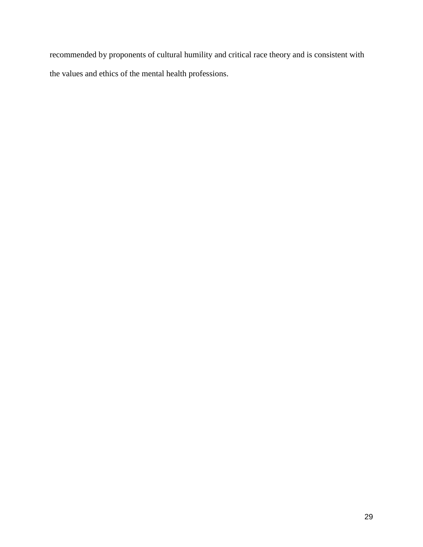recommended by proponents of cultural humility and critical race theory and is consistent with the values and ethics of the mental health professions.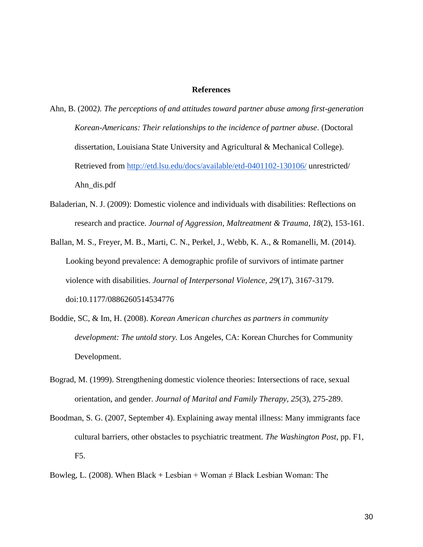# **References**

- Ahn, B. (2002*). The perceptions of and attitudes toward partner abuse among first-generation Korean-Americans: Their relationships to the incidence of partner abuse*. (Doctoral dissertation, Louisiana State University and Agricultural & Mechanical College). Retrieved from <http://etd.lsu.edu/docs/available/etd-0401102-130106/> unrestricted/ Ahn\_dis.pdf
- Baladerian, N. J. (2009): Domestic violence and individuals with disabilities: Reflections on research and practice. *Journal of Aggression, Maltreatment & Trauma*, *18*(2), 153-161.
- Ballan, M. S., Freyer, M. B., Marti, C. N., Perkel, J., Webb, K. A., & Romanelli, M. (2014). Looking beyond prevalence: A demographic profile of survivors of intimate partner violence with disabilities. *Journal of Interpersonal Violence, 29*(17), 3167-3179. doi:10.1177/0886260514534776
- Boddie, SC, & Im, H. (2008). *Korean American churches as partners in community development: The untold story.* Los Angeles, CA: Korean Churches for Community Development.
- Bograd, M. (1999). Strengthening domestic violence theories: Intersections of race, sexual orientation, and gender. *Journal of Marital and Family Therapy, 25*(3), 275-289.
- Boodman, S. G. (2007, September 4). Explaining away mental illness: Many immigrants face cultural barriers, other obstacles to psychiatric treatment. *The Washington Post*, pp. F1, F5.
- Bowleg, L. (2008). When Black + Lesbian + Woman  $\neq$  Black Lesbian Woman: The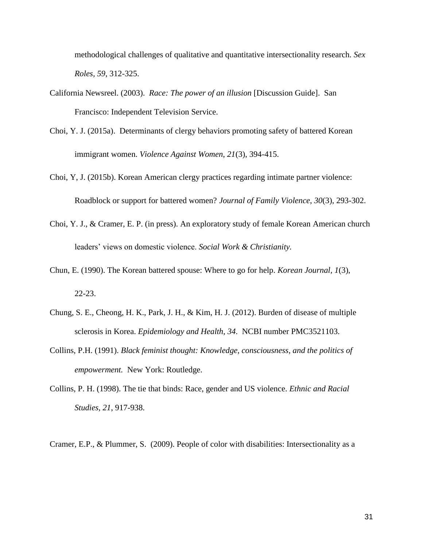methodological challenges of qualitative and quantitative intersectionality research. *Sex Roles, 59*, 312-325.

- California Newsreel. (2003). *Race: The power of an illusion* [Discussion Guide]. San Francisco: Independent Television Service.
- Choi, Y. J. (2015a). Determinants of clergy behaviors promoting safety of battered Korean immigrant women. *Violence Against Women*, *21*(3), 394-415.
- Choi, Y, J. (2015b). Korean American clergy practices regarding intimate partner violence: Roadblock or support for battered women? *Journal of Family Violence*, *30*(3), 293-302.
- Choi, Y. J., & Cramer, E. P. (in press). An exploratory study of female Korean American church leaders' views on domestic violence. *Social Work & Christianity.*
- Chun, E. (1990). The Korean battered spouse: Where to go for help. *Korean Journal, 1*(3), 22-23.
- Chung, S. E., Cheong, H. K., Park, J. H., & Kim, H. J. (2012). Burden of disease of multiple sclerosis in Korea. *Epidemiology and Health*, *34*. NCBI number PMC3521103.
- Collins, P.H. (1991). *Black feminist thought: Knowledge, consciousness, and the politics of empowerment.* New York: Routledge.
- Collins, P. H. (1998). The tie that binds: Race, gender and US violence. *Ethnic and Racial Studies, 21*, 917-938.

Cramer, E.P., & Plummer, S. (2009). People of color with disabilities: Intersectionality as a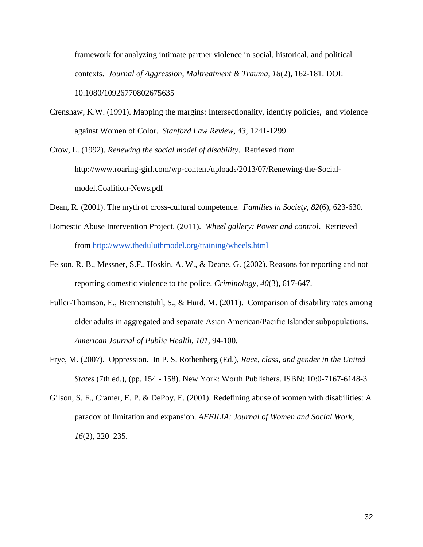framework for analyzing intimate partner violence in social, historical, and political contexts. *Journal of Aggression, Maltreatment & Trauma, 18*(2), 162-181. DOI: 10.1080/10926770802675635

- Crenshaw, K.W. (1991). Mapping the margins: Intersectionality, identity policies, and violence against Women of Color. *Stanford Law Review, 43*, 1241-1299.
- Crow, L. (1992). *Renewing the social model of disability*. Retrieved from http://www.roaring-girl.com/wp-content/uploads/2013/07/Renewing-the-Socialmodel.Coalition-News.pdf
- Dean, R. (2001). The myth of cross-cultural competence. *Families in Society, 82*(6), 623-630.
- Domestic Abuse Intervention Project. (2011). *Wheel gallery: Power and control*. Retrieved from<http://www.theduluthmodel.org/training/wheels.html>
- Felson, R. B., Messner, S.F., Hoskin, A. W., & Deane, G. (2002). Reasons for reporting and not reporting domestic violence to the police. *Criminology, 40*(3), 617-647.
- Fuller-Thomson, E., Brennenstuhl, S., & Hurd, M. (2011). Comparison of disability rates among older adults in aggregated and separate Asian American/Pacific Islander subpopulations. *American Journal of Public Health, 101,* 94-100.
- Frye, M. (2007). Oppression. In P. S. Rothenberg (Ed.), *Race, class, and gender in the United States* (7th ed.), (pp. 154 - 158). New York: Worth Publishers. ISBN: 10:0-7167-6148-3
- Gilson, S. F., Cramer, E. P. & DePoy. E. (2001). Redefining abuse of women with disabilities: A paradox of limitation and expansion. *AFFILIA: Journal of Women and Social Work, 16*(2), 220–235.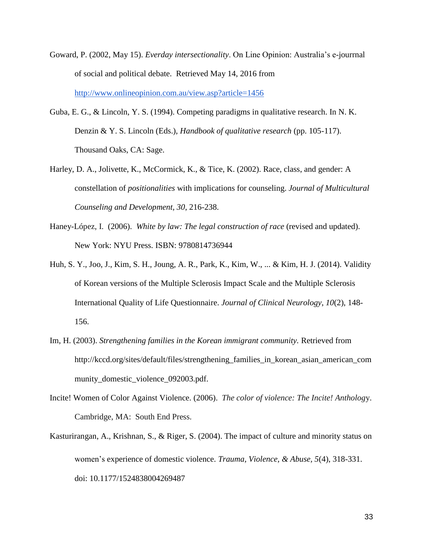- Goward, P. (2002, May 15). *Everday intersectionality*. On Line Opinion: Australia's e-jourrnal of social and political debate. Retrieved May 14, 2016 from <http://www.onlineopinion.com.au/view.asp?article=1456>
- Guba, E. G., & Lincoln, Y. S. (1994). Competing paradigms in qualitative research. In N. K. Denzin & Y. S. Lincoln (Eds.), *Handbook of qualitative research* (pp. 105-117). Thousand Oaks, CA: Sage.
- Harley, D. A., Jolivette, K., McCormick, K., & Tice, K. (2002). Race, class, and gender: A constellation of *positionalities* with implications for counseling. *Journal of Multicultural Counseling and Development, 30*, 216-238.
- Haney-López, I. (2006). *White by law: The legal construction of race* (revised and updated). New York: NYU Press. ISBN: 9780814736944
- Huh, S. Y., Joo, J., Kim, S. H., Joung, A. R., Park, K., Kim, W., ... & Kim, H. J. (2014). Validity of Korean versions of the Multiple Sclerosis Impact Scale and the Multiple Sclerosis International Quality of Life Questionnaire. *Journal of Clinical Neurology*, *10*(2), 148- 156.
- Im, H. (2003). *Strengthening families in the Korean immigrant community*. Retrieved from http://kccd.org/sites/default/files/strengthening\_families\_in\_korean\_asian\_american\_com munity\_domestic\_violence\_092003.pdf.
- Incite! Women of Color Against Violence. (2006). *The color of violence: The Incite! Antholog*y. Cambridge, MA: South End Press.
- Kasturirangan, A., Krishnan, S., & Riger, S. (2004). The impact of culture and minority status on women's experience of domestic violence. *Trauma, Violence, & Abuse, 5*(4), 318-331. doi: 10.1177/1524838004269487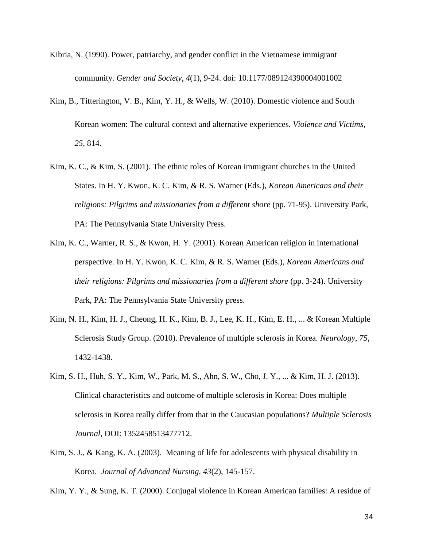- Kibria, N. (1990). Power, patriarchy, and gender conflict in the Vietnamese immigrant community. *Gender and Society, 4*(1), 9-24. doi: 10.1177/089124390004001002
- Kim, B., Titterington, V. B., Kim, Y. H., & Wells, W. (2010). Domestic violence and South Korean women: The cultural context and alternative experiences. *Violence and Victims*, *25*, 814.
- Kim, K. C., & Kim, S. (2001). The ethnic roles of Korean immigrant churches in the United States. In H. Y. Kwon, K. C. Kim, & R. S. Warner (Eds.), *Korean Americans and their* religions: Pilgrims and missionaries from a different shore (pp. 71-95). University Park, PA: The Pennsylvania State University Press.
- Kim, K. C., Warner, R. S., & Kwon, H. Y. (2001). Korean American religion in international perspective. In H. Y. Kwon, K. C. Kim, & R. S. Warner (Eds.), *Korean Americans and their religions: Pilgrims and missionaries from a different shore* (pp. 3-24). University Park, PA: The Pennsylvania State University press.
- Kim, N. H., Kim, H. J., Cheong, H. K., Kim, B. J., Lee, K. H., Kim, E. H., ... & Korean Multiple Sclerosis Study Group. (2010). Prevalence of multiple sclerosis in Korea. *Neurology*, *75*, 1432-1438.
- Kim, S. H., Huh, S. Y., Kim, W., Park, M. S., Ahn, S. W., Cho, J. Y., ... & Kim, H. J. (2013). Clinical characteristics and outcome of multiple sclerosis in Korea: Does multiple sclerosis in Korea really differ from that in the Caucasian populations? *Multiple Sclerosis Journal*, DOI: 1352458513477712.
- Kim, S. J., & Kang, K. A. (2003). Meaning of life for adolescents with physical disability in Korea. *Journal of Advanced Nursing, 43*(2), 145-157.

Kim, Y. Y., & Sung, K. T. (2000). Conjugal violence in Korean American families: A residue of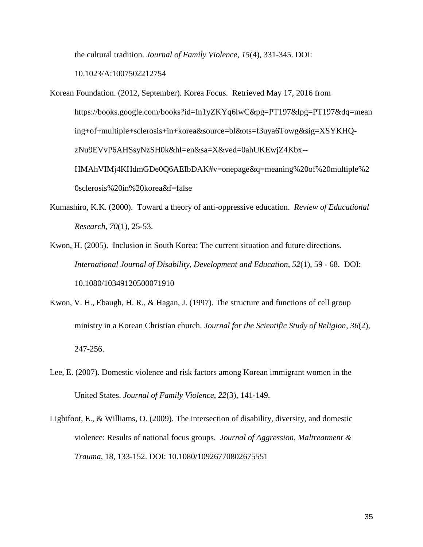the cultural tradition. *Journal of Family Violence, 15*(4), 331-345. DOI:

10.1023/A:1007502212754

- Korean Foundation. (2012, September). Korea Focus. Retrieved May 17, 2016 from https://books.google.com/books?id=In1yZKYq6lwC&pg=PT197&lpg=PT197&dq=mean ing+of+multiple+sclerosis+in+korea&source=bl&ots=f3uya6Towg&sig=XSYKHQzNu9EVvP6AHSsyNzSH0k&hl=en&sa=X&ved=0ahUKEwjZ4Kbx-- HMAhVIMj4KHdmGDe0Q6AEIbDAK#v=onepage&q=meaning%20of%20multiple%2 0sclerosis%20in%20korea&f=false
- Kumashiro, K.K. (2000). Toward a theory of anti-oppressive education. *Review of Educational Research, 70*(1), 25-53.
- Kwon, H. (2005). Inclusion in South Korea: The current situation and future directions. *International Journal of Disability, Development and Education, 52*(1), 59 - 68. DOI: 10.1080/10349120500071910
- Kwon, V. H., Ebaugh, H. R., & Hagan, J. (1997). The structure and functions of cell group ministry in a Korean Christian church. *Journal for the Scientific Study of Religion, 36*(2), 247-256.
- Lee, E. (2007). Domestic violence and risk factors among Korean immigrant women in the United States. *Journal of Family Violence*, *22*(3), 141-149.
- Lightfoot, E., & Williams, O. (2009). The intersection of disability, diversity, and domestic violence: Results of national focus groups. *Journal of Aggression, Maltreatment & Trauma*, 18, 133-152. DOI: 10.1080/10926770802675551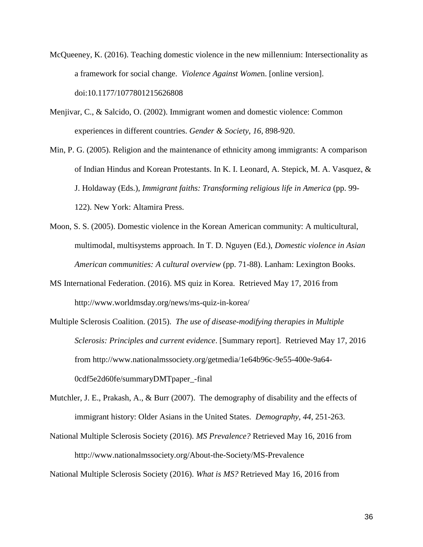- McQueeney, K. (2016). Teaching domestic violence in the new millennium: Intersectionality as a framework for social change. *Violence Against Wome*n. [online version]. doi:10.1177/1077801215626808
- Menjivar, C., & Salcido, O. (2002). Immigrant women and domestic violence: Common experiences in different countries. *Gender & Society*, *16*, 898-920.
- Min, P. G. (2005). Religion and the maintenance of ethnicity among immigrants: A comparison of Indian Hindus and Korean Protestants. In K. I. Leonard, A. Stepick, M. A. Vasquez, & J. Holdaway (Eds.), *Immigrant faiths: Transforming religious life in America* (pp. 99- 122). New York: Altamira Press.
- Moon, S. S. (2005). Domestic violence in the Korean American community: A multicultural, multimodal, multisystems approach. In T. D. Nguyen (Ed.), *Domestic violence in Asian American communities: A cultural overview* (pp. 71-88). Lanham: Lexington Books.
- MS International Federation. (2016). MS quiz in Korea. Retrieved May 17, 2016 from http://www.worldmsday.org/news/ms-quiz-in-korea/
- Multiple Sclerosis Coalition. (2015). *The use of disease-modifying therapies in Multiple Sclerosis: Principles and current evidence*. [Summary report]. Retrieved May 17, 2016 from http://www.nationalmssociety.org/getmedia/1e64b96c-9e55-400e-9a64- 0cdf5e2d60fe/summaryDMTpaper\_-final
- Mutchler, J. E., Prakash, A., & Burr (2007). The demography of disability and the effects of immigrant history: Older Asians in the United States. *Demography, 44*, 251-263.
- National Multiple Sclerosis Society (2016). *MS Prevalence?* Retrieved May 16, 2016 from http://www.nationalmssociety.org/About-the-Society/MS-Prevalence

National Multiple Sclerosis Society (2016). *What is MS?* Retrieved May 16, 2016 from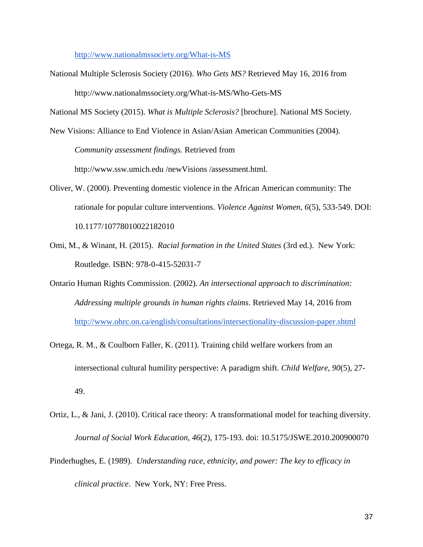<http://www.nationalmssociety.org/What-is-MS>

National Multiple Sclerosis Society (2016). *Who Gets MS?* Retrieved May 16, 2016 from http://www.nationalmssociety.org/What-is-MS/Who-Gets-MS

National MS Society (2015). *What is Multiple Sclerosis?* [brochure]. National MS Society.

- New Visions: Alliance to End Violence in Asian/Asian American Communities (2004). *Community assessment findings.* Retrieved from http://www.ssw.umich.edu /newVisions /assessment.html.
- Oliver, W. (2000). Preventing domestic violence in the African American community: The rationale for popular culture interventions. *Violence Against Women, 6*(5), 533-549. DOI: 10.1177/10778010022182010
- Omi, M., & Winant, H. (2015). *Racial formation in the United States* (3rd ed.). New York: Routledge. ISBN: 978-0-415-52031-7
- Ontario Human Rights Commission. (2002). *An intersectional approach to discrimination: Addressing multiple grounds in human rights claims*. Retrieved May 14, 2016 fro[m](http://www.ohrc.on.ca/english/consultations/intersectionality-discussion-paper.shtml) <http://www.ohrc.on.ca/english/consultations/intersectionality-discussion-paper.shtml>
- Ortega, R. M., & Coulborn Faller, K. (2011). Training child welfare workers from an intersectional cultural humility perspective: A paradigm shift. *Child Welfare, 90*(5), 27- 49.
- Ortiz, L., & Jani, J. (2010). Critical race theory: A transformational model for teaching diversity. *Journal of Social Work Education, 46*(2), 175-193. doi: 10.5175/JSWE.2010.200900070
- Pinderhughes, E. (1989). *Understanding race, ethnicity, and power: The key to efficacy in clinical practice*. New York, NY: Free Press.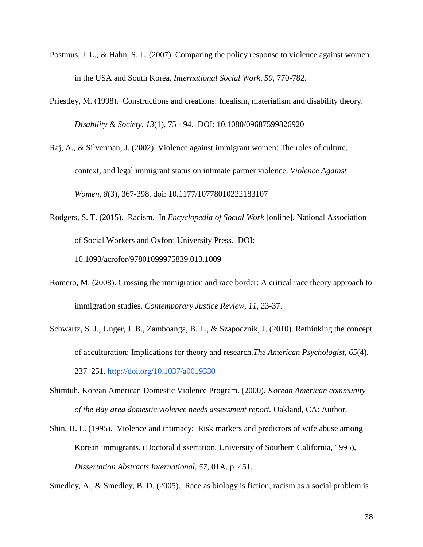- Postmus, J. L., & Hahn, S. L. (2007). Comparing the policy response to violence against women in the USA and South Korea. *International Social Work*, *50*, 770-782.
- Priestley, M. (1998). Constructions and creations: Idealism, materialism and disability theory. *Disability & Society, 13*(1), 75 - 94. DOI: 10.1080/09687599826920
- Raj, A., & Silverman, J. (2002). Violence against immigrant women: The roles of culture, context, and legal immigrant status on intimate partner violence. *Violence Against Women, 8*(3), 367-398. doi: 10.1177/10778010222183107
- Rodgers, S. T. (2015). Racism. In *Encyclopedia of Social Work* [online]. National Association of Social Workers and Oxford University Press. DOI: 10.1093/acrofor/97801099975839.013.1009
- Romero, M. (2008). Crossing the immigration and race border: A critical race theory approach to immigration studies. *Contemporary Justice Review, 11,* 23-37.
- Schwartz, S. J., Unger, J. B., Zamboanga, B. L., & Szapocznik, J. (2010). Rethinking the concept of acculturation: Implications for theory and research.*The American Psychologist*, *65*(4), 237–251.<http://doi.org/10.1037/a0019330>
- Shimtuh, Korean American Domestic Violence Program. (2000). *Korean American community of the Bay area domestic violence needs assessment report.* Oakland, CA: Author.
- Shin, H. L. (1995). Violence and intimacy: Risk markers and predictors of wife abuse among Korean immigrants. (Doctoral dissertation, University of Southern California, 1995), *Dissertation Abstracts International, 57*, 01A, p. 451.

Smedley, A., & Smedley, B. D. (2005). Race as biology is fiction, racism as a social problem is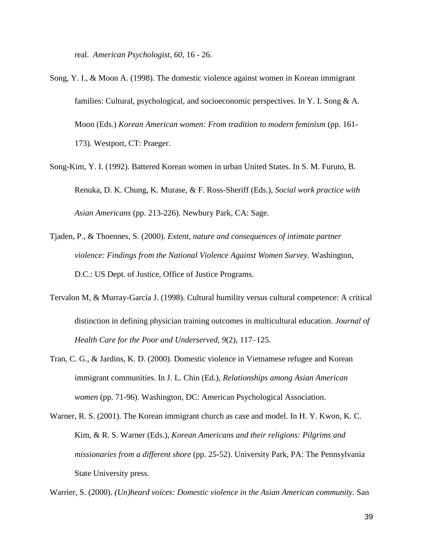real. *American Psychologist, 60*, 16 - 26.

- Song, Y. I., & Moon A. (1998). The domestic violence against women in Korean immigrant families: Cultural, psychological, and socioeconomic perspectives. In Y. I. Song & A. Moon (Eds.) *Korean American women: From tradition to modern feminism* (pp. 161- 173)*.* Westport, CT: Praeger.
- Song-Kim, Y. I. (1992). Battered Korean women in urban United States. In S. M. Furuto, B. Renuka, D. K. Chung, K. Murase, & F. Ross-Sheriff (Eds.), *Social work practice with Asian Americans* (pp. 213-226). Newbury Park, CA: Sage.
- Tjaden, P., & Thoennes, S. (2000). *Extent, nature and consequences of intimate partner violence: Findings from the National Violence Against Women Survey.* Washington, D.C.: US Dept. of Justice, Office of Justice Programs.
- Tervalon M, & Murray-García J. (1998). Cultural humility versus cultural competence: A critical distinction in defining physician training outcomes in multicultural education. *Journal of Health Care for the Poor and Underserved, 9*(2), 117–125.
- Tran, C. G., & Jardins, K. D. (2000). Domestic violence in Vietnamese refugee and Korean immigrant communities. In J. L. Chin (Ed.), *Relationships among Asian American women* (pp. 71-96). Washington, DC: American Psychological Association.
- Warner, R. S. (2001). The Korean immigrant church as case and model. In H. Y. Kwon, K. C. Kim, & R. S. Warner (Eds.), *Korean Americans and their religions: Pilgrims and missionaries from a different shore* (pp. 25-52). University Park, PA: The Pennsylvania State University press.

Warrier, S. (2000). *(Un)heard voices: Domestic violence in the Asian American community*. San